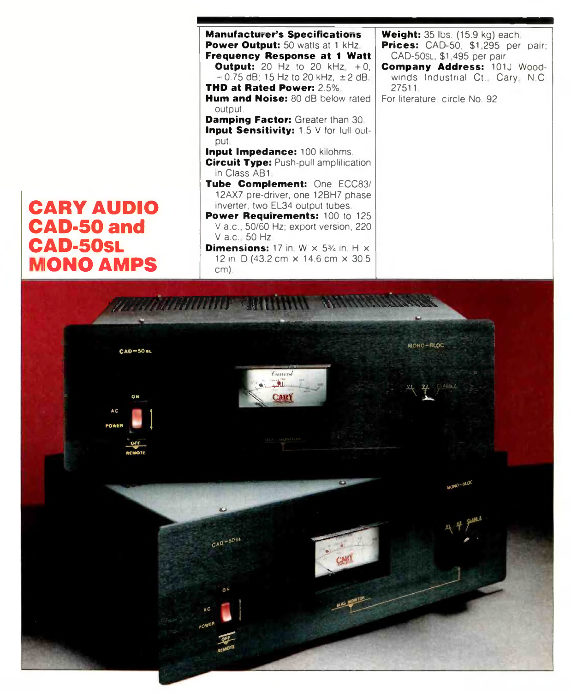# **CARY AUDIO CAD-50 and CAD-50SL MONO AMPS**



*THARRING CARNER* MONO-BLOC  $CAD = 50$  st. Cornerd  $-1$ **CAR)** A C **POWE**  $100 - 8400$  $CAD - 50$ 

cm).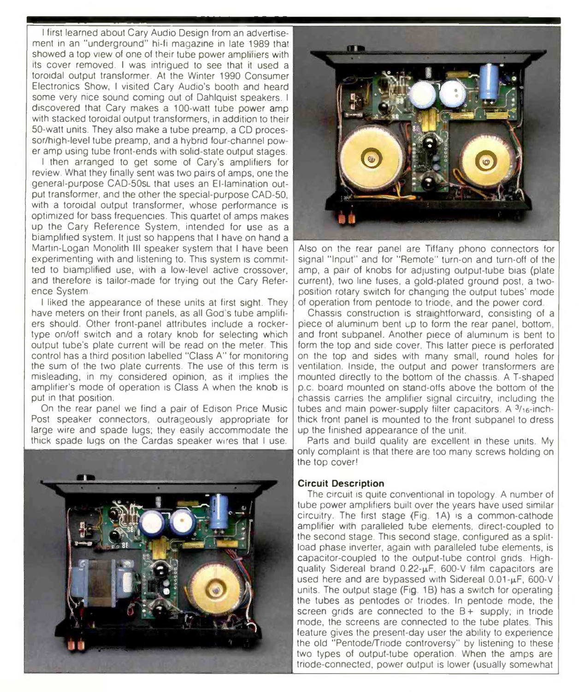I first learned about Cary Audio Design from an advertisement in an "underground" hi-fi magazine in late 1989 that showed a top view of one of their tube power ampliners with its cover removed. I was intrigued to see that it used a toroidal output transformer. At the Winter 1990 Consumer Electronics Show, I visited Cary Audio's booth and heard some very nice sound coming out of Dahlquist speakers. I discovered that Cary makes a 100-watt tube power amp with stacked toroidal output transformers, in addition to their 50-watt units. They also make a tube preamp, a CD processor/high-level tube preamp, and a hybrid four-channel pow er amp using tube front-ends with solid-state output stages.

I then arranged to get some of Cary's amplifiers for review. What they finally sent was two pairs of amps, one the general-purpose CAD-50sl that uses an El-lamination output transformer, and the other the special-purpose CAD-50 with a toroidal output transformer, whose performance is optimized for bass frequencies. This quartet of amps makes up the Cary Reference System, intended for use as a biamplified system. It just so happens that I have on hand a Martin-Logan Monolith III speaker system that I have been experimenting with and listening to. This system is committed to biamplified use, wth a low-level active crossover, and therefore is tailor-made for trying out the Cary Reference System

I liked the appearance of these units at first sight. They have meters on their front panels, as all God's tube amplifiers should. Other front-panel attributes include a rockertype on/off switch and a rotary knob for selecting which output tube's plate current will be read on the meter This control has a third position labelled "Class A" for monitoring the sum of the two plate currents. The use of this term is misleading, in my considered opinion, as it implies the amplifier's mode of operation is Class A when the knob is put in that position.

On the rear panel we find a pair of Edison Price Music Post speaker connectors, outrageously appropriate for large wire and spade lugs; they easily accommodate the thick spade lugs on the Cardas speaker wires that I use.





Also on the rear panel are Tiffany phono connectors for signal "Input' and for ''Remote" turn-on and turn-off of the amp, a pair of knobs for adjusting output-tube bias (plate current), two line fuses, a gold-plated ground post, a twoposition rotary switch for changing the output tubes' mode of operation from pentode to triode, and the power cord

Chassis construction is straightforward, consisting of a piece of aluminum bent up to form the rear panel, bottom, and front subpanel. Another piece of aluminum is bent to form the top and side cover. This latter piece is perforated on the top and sides with many small, round holes for ventilation. Inside, the output and power transformers are mounted directly to the bottom of the chassis. A T-shaped p.c. board mounted on stand-offs above the bottom of the chassis carries the amplifier signal circuitry, including the tubes and main power-supply filter capacitors. A  $3/16$ -inchthick front panel is mounted to the front subpanel to dress up the finished appearance of the unit.

Parts and build quality are excellent in these units. My only complaint is that there are too many screws holding on the top cover!

#### **Circuit Description**

The circuit is quite conventional in topology. A number of tube power amplifiers built over the years have used similar circuitry. The first stage (Fig. 1A) is a common-cathode amplifier with paralleled tube elements, direct-coupled to the second stage. This second stage, configured as a splitload phase inverter, again with paralleled tube elements, is capacitor-coupled to the output-tube control grids. Highquality Sidereal brand  $0.22 - \mu$ F, 600-V film capacitors are used here and are bypassed with Sidereal  $0.01$ - $\mu$ F, 600-V units. The output stage (Fig 1B) has a switch for operating the tubes as pentodes or triodes. In pentode mode, the screen grids are connected to the  $B+$  supply; in triode mode, the screens are connected to the tube plates. This feature gives the present-day user the ability to experience the old "Pentode/Triode controversy" by listening to these two types of output-tube operation. When the amps are triode-connected, power output is lower (usually somewhat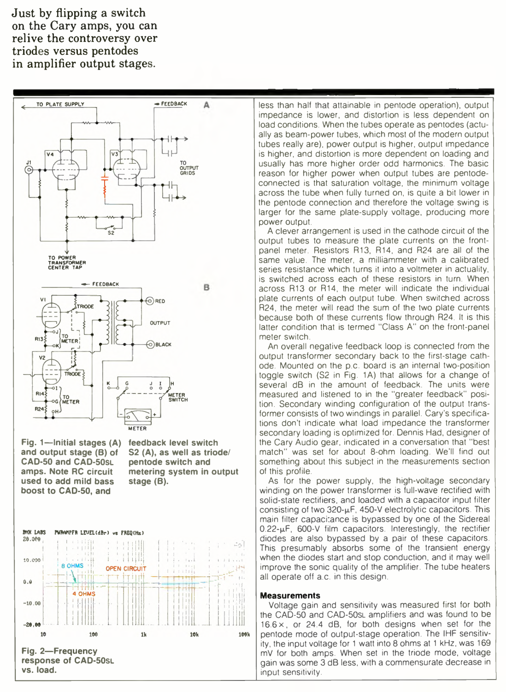Just by flipping a switch on the Cary amps, you can relive the controversy over triodes versus pentodes in amplifier output stages.



**Fig. 1—Initial stages (A) and output stage (B) of CAD-50 and CAD-50SL amps. Note RC circuit used to add mild bass boost to CAD-50, and**

**feedback level switch S2 (A), as well as triode/ pentode switch and metering system in output stage (B).**



less than half that attainable in pentode operation), output impedance is lower, and distortion is less dependent on load conditions. When the tubes operate as pentodes (actually as beam-power tubes, which most of the modern output tubes really are), power output is higher, output impedance is higher, and distortion is more dependent on loading and usually has more higher order odd harmonics. The basic reason for higher power when output tubes are pentodeconnected is that saturation voltage, the minimum voltage across the tube when fully turned on, is quite a bit lower in the pentode connection and therefore the voltage swing is larger for the same plate-supply voltage, producing more power output.

A clever arrangement is used in the cathode circuit of the output tubes to measure the plate currents on the frontpanel meter. Resistors R13, R14, and R24 are all of the same value. The meter, a milliammeter with a calibrated series resistance which turns it into a voltmeter in actuality, is switched across each of these resistors in turn. When across R13 or R14, the meter will indicate the individual plate currents of each output tube. When switched across R24, the meter will read the sum of the two plate currents because both of these currents flow through R24. It is this latter condition that is termed "Class A" on the front-panel meter switch.

An overall negative feedback loop is connected from the output transformer secondary back to the first-stage cathode. Mounted on the p.c. board is an internal two-position toggle switch (S2 in Fig. 1A) that allows for a change of several dB in the amount of feedback. The units were measured and listened to in the "greater feedback" position. Secondary winding configuration of the output transformer consists of two windings in parallel. Cary's specifications don't indicate what load impedance the transformer secondary loading is optimized for. Dennis Had, designer of the Cary Audio gear, indicated in a conversation that "best match" was set for about 8-ohm loading. We'll find out something about this subject in the measurements section of this profile.

As for the power supply, the high-voltage secondary winding on the power transformer is full-wave rectified with solid-state rectifiers, and loaded with a capacitor input filter consisting of two  $320$ - $\mu$ F, 450-V electrolytic capacitors. This main filter capacitance is bypassed by one of the Sidereal  $0.22$ - $\mu$ F, 600-V film capacitors. Interestingly, the rectifier diodes are also bypassed by a pair of these capacitors. This presumably absorbs some of the transient energy when the diodes start and stop conduction, and it may well improve the sonic quality of the amplifier. The tube heaters all operate off a.c. in this design.

#### **Measurements**

Voltage gain and sensitivity was measured first for both the CAD-50 and CAD-50SL amplifiers and was found to be 16.6x, or 24.4 dB, for both designs when set for the pentode mode of output-stage operation. The IHF sensitivity, the input voltage for 1 watt into 8 ohms at 1 kHz, was 169 mV for both amps. When set in the triode mode, voltage gain was some 3 dB less, with a commensurate decrease in input sensitivity.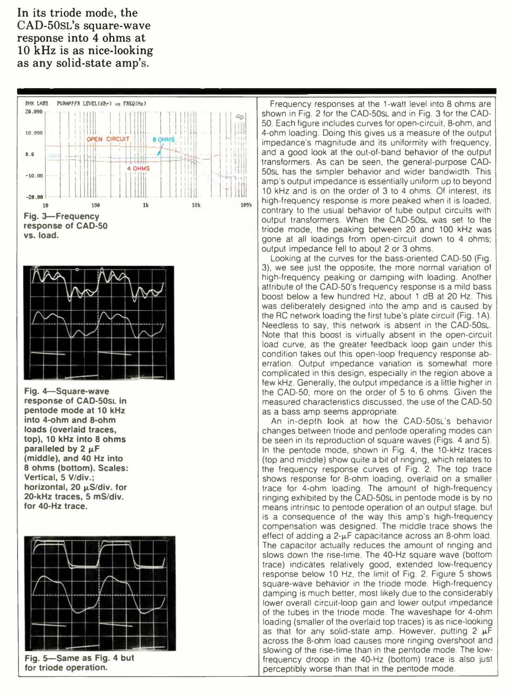In its triode mode, the CAD-50sl's square-wave response into 4 ohms at 10 kHz is as nice-looking as any solid-state amp's.





**Fig. 4—Square-wave response of CAD-50sL in pentode mode at 10 kHz into 4-ohm and 8-ohm loads (overlaid traces, top), 10 kHz into 8 ohms** paralleled by 2  $\mu$ F **(middle), and 40 Hz into 8 ohms (bottom). Scales: Vertical, 5 V/div.;** horizontal, 20  $\mu$ S/div. for **20-kHz traces, 5 mS/div. for 40-Hz trace.**



**for triode operation.**

Frequency responses at the 1-watt level into 8 ohms are shown in Fig. 2 for the CAD-50SL and in Fig. 3 for the CAD-50. Each figure includes curves for open-circuit, 8-ohm, and 4-ohm loading. Doing this gives us a measure of the output impedance's magnitude and its uniformity with frequency, and a good look at the out-of-band behavior of the output transformers. As can be seen, the general-purpose CAD-50sl has the simpler behavior and wider bandwidth. This amp's output impedance is essentially uniform up to beyond 10 kHz and is on the order of 3 to 4 ohms. Of interest, its high-frequency response is more peaked when it is loaded, contrary to the usual behavior of tube output circuits with output transformers. When the CAD-50SL was set to the triode mode, the peaking between 20 and 100 kHz was gone at all loadings from open-circuit down to 4 ohms; output impedance fell to about 2 or 3 ohms.

Looking at the curves for the bass-oriented CAD-50 (Fig. 3), we see just the opposite, the more normal variation of high-frequency peaking or damping with loading. Another attribute of the CAD-50's frequency response is a mild bass boost below a few hundred Hz, about 1 dB at 20 Hz. This was deliberately designed into the amp and is caused by the RC network loading the first tube's plate circuit (Fig. 1 A). Needless to say, this network is absent in the CAD-50sl. Note that this boost is virtually absent in the open-circuit load curve, as the greater feedback loop gain under this condition takes out this open-loop frequency response aberration. Output impedance variation is somewhat more complicated in this design, especially in the region above a few kHz. Generally, the output impedance is a little higher in the CAD-50, more on the order of 5 to 6 ohms. Given the measured characteristics discussed, the use of the CAD-50 as a bass amp seems appropriate.

An in-depth look at how the CAD-50sl's behavior changes between triode and pentode operating modes can be seen in its reproduction of square waves (Figs. 4 and 5). In the pentode mode, shown in Fig. 4, the 10-kHz traces (top and middle) show quite a bit of ringing, which relates to the frequency response curves of Fig. 2. The top trace shows response for 8-ohm loading, overlaid on a smaller trace for 4-ohm loading. The amount of high-frequency ringing exhibited by the CAD-50SL in pentode mode is by no means intrinsic to pentode operation of an output stage, but is a consequence of the way this amp's high-frequency compensation was designed. The middle trace shows the effect of adding a  $2-\mu$ F capacitance across an 8-ohm load. The capacitor actually reduces the amount of ringing and slows down the rise-time. The 40-Hz square wave (bottom trace) indicates relatively good, extended low-frequency response below 10 Hz, the limit of Fig. 2. Figure 5 shows square-wave behavior in the triode mode. High-frequency damping is much better, most likely due to the considerably lower overall circuit-loop gain and lower output impedance of the tubes in the triode mode. The waveshape for 4-ohm loading (smaller of the overlaid top traces) is as nice-looking as that for any solid-state amp. However, putting  $2 \mu F$ across the 8-ohm load causes more ringing overshoot and slowing of the rise-time than in the pentode mode. The lowfrequency droop in the 40-Hz (bottom) trace is also just perceptibly worse than that in the pentode mode.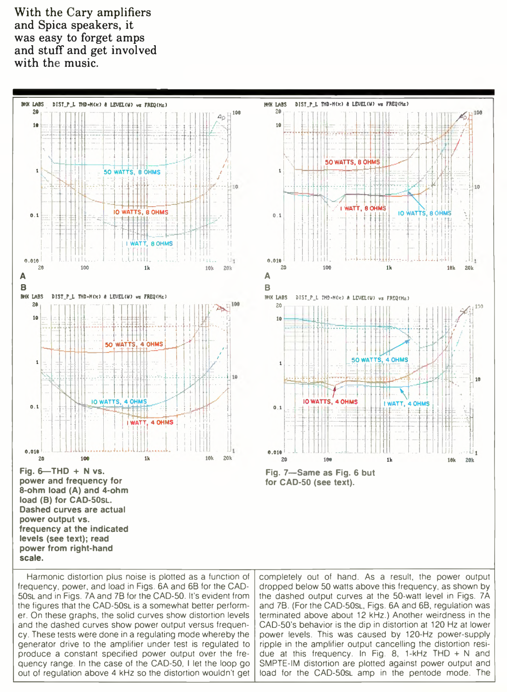With the Cary amplifiers and Spica speakers, it was easy to forget amps and stuff and get involved with the music.



frequency, power, and load in Figs. 6A and 6B for the CAD-50sl and in Figs. 7A and 7B for the CAD-50. It's evident from the figures that the CAD-50sL is a somewhat better performer. On these graphs, the solid curves show distortion levels and the dashed curves show power output versus frequency. These tests were done in a regulating mode whereby the generator drive to the amplifier under test is regulated to produce a constant specified power output over the frequency range. In the case of the CAD-50, I let the loop go out of regulation above 4 kHz so the distortion wouldn't get

dropped below 50 watts above this frequency, as shown by the dashed output curves at the 50-watt level in Figs. 7A and 7B. (For the CAD-50SL, Figs. 6A and 6B, regulation was terminated above about 12 kHz.) Another weirdness in the CAD-50's behavior is the dip in distortion at 120 Hz at lower power levels. This was caused by 120-Hz power-supply ripple in the amplifier output cancelling the distortion residue at this frequency. In Fig. 8, 1-kHz THD + N and SMPTE-IM distortion are plotted against power output and load for the CAD-50sl amp in the pentode mode. The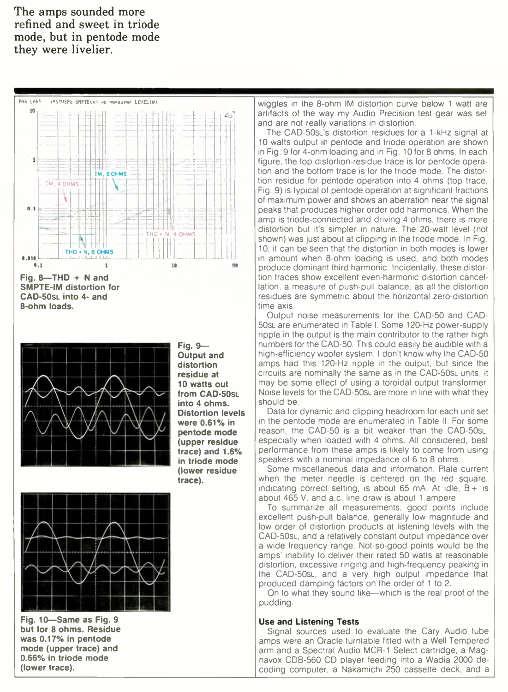The amps sounded more refined and sweet in triode mode, but in pentode mode they were livelier.

Pnk LABS IMSTUSPO SMPTE(x) wz -wasurad LEUEL(W)



**Fig. 8—THD + N and SMPTE-IM distortion for CAD-50SL into 4- and 8-ohm loads.**



**Fig. 9— Output and distortion residue at 10 watts out from CAD-50SL into 4 ohms. Distortion levels were 0.61% in pentode mode (upper residue trace) and 1.6% in triode mode (lower residue trace).**



**Fig. 10—Same as Fig. 9 but for 8 ohms. Residue was 0.17% in pentode mode (upper trace) and 0.66% in triode mode (lower trace).**

wiggles in the 8-ohm IM distortion curve below 1 watt are artifacts of the way my Audio Precision test gear was set and are not really variations in distortion.

The CAD-50sL's distortion residues for a 1-kHz signal at 10 watts output in pentode and triode operation are shown in Fig. 9 for 4-ohm loading and in Fig. 10 for 8 ohms. In each figure, the top distortion-residue trace is for pentode operation and the bottom trace is for the triode mode. The distortion residue for pentode operation into 4 ohms (top trace, Fig. 9) is typical of pentode operation at significant fractions of maximum power and shows an aberration near the signal peaks that produces higher order odd harmonics. When the amp is triode-connected and driving 4 ohms, there is more distortion but it's simpler in nature. The 20-watt level (not shown) was just about at clipping in the triode mode. In Fig. 10, it can be seen that the distortion in both modes is lower in amount when 8-ohm loading is used, and both modes produce dominant third harmonic. Incidentally, these distortion traces show excellent even-harmonic distortion cancellation, a measure of push-pull balance, as all the distortion residues are symmetric about the horizontal zero-distortion time axis.

Output noise measurements for the CAD-50 and CAD-50sL are enumerated in Table I. Some 120-Hz power-supply ripple in the output is the main contributor to the rather high numbers for the CAD-50. This could easily be audible with a high-efficiency woofer system. I don't know why the CAD-50 amps had this 120-Hz ripple in the output, but since the circuits are nominally the same as in the CAD-50sL units, it may be some effect of using a toroidal output transformer. Noise levels for the CAD-50SI are more in line with what they should be.

Data for dynamic and clipping headroom for each unit set in the pentode mode are enumerated in Table II. For some reason, the CAD-50 is a bit weaker than the CAD-50sL, especially when loaded with 4 ohms. All considered, best performance from these amps is likely to come from using speakers with a nominal impedance of 6 to 8 ohms.

Some miscellaneous data and information: Plate current when the meter needle is centered on the red square, indicating correct setting, is about 65 mA. At idle,  $B +$  is about 465 V, and a.c. line draw is about 1 ampere.

To summarize all measurements, good points include excellent push-pull balance, generally low magnitude and low order of distortion products at listening levels with the CAD-50sl, and a relatively constant output impedance over a wide frequency range. Not-so-good points would be the amps' inability to deliver their rated 50 watts at reasonable distortion, excessive ringing and high-frequency peaking in the CAD-50sl, and a very high output impedance that produced damping factors on the order of 1 to 2.

On to what they sound like—which is the real proof of the pudding.

#### **Use and Listening Tests**

Signal sources used to evaluate the Cary Audio tube amps were an Oracle turntable fitted with a Well Tempered arm and a Spectral Audio MCR-1 Select cartridge, a Magnavox CDB-560 CD player feeding into a Wadia 2000 decoding computer, a Nakamichi 250 cassette deck, and a